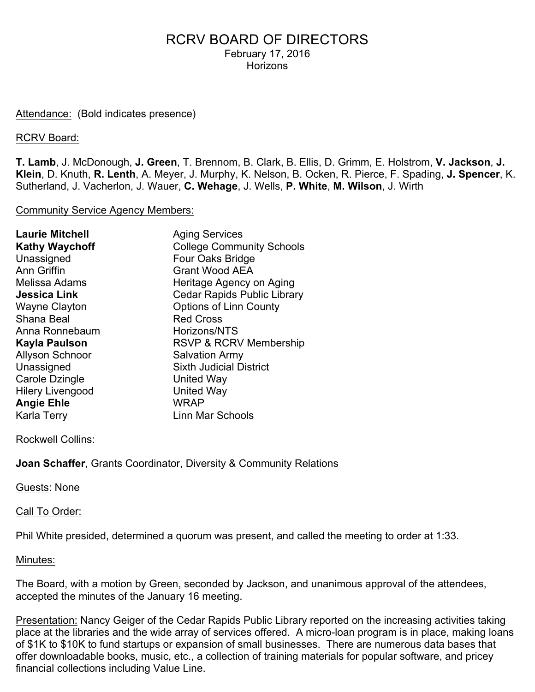#### Attendance: (Bold indicates presence)

#### RCRV Board:

**T. Lamb**, J. McDonough, **J. Green**, T. Brennom, B. Clark, B. Ellis, D. Grimm, E. Holstrom, **V. Jackson**, **J. Klein**, D. Knuth, **R. Lenth**, A. Meyer, J. Murphy, K. Nelson, B. Ocken, R. Pierce, F. Spading, **J. Spencer**, K. Sutherland, J. Vacherlon, J. Wauer, **C. Wehage**, J. Wells, **P. White**, **M. Wilson**, J. Wirth

#### Community Service Agency Members:

| <b>Laurie Mitchell</b>  | <b>Aging Services</b>              |
|-------------------------|------------------------------------|
| <b>Kathy Waychoff</b>   | <b>College Community Schools</b>   |
| Unassigned              | Four Oaks Bridge                   |
| <b>Ann Griffin</b>      | <b>Grant Wood AEA</b>              |
| Melissa Adams           | Heritage Agency on Aging           |
| <b>Jessica Link</b>     | <b>Cedar Rapids Public Library</b> |
| <b>Wayne Clayton</b>    | <b>Options of Linn County</b>      |
| Shana Beal              | <b>Red Cross</b>                   |
| Anna Ronnebaum          | Horizons/NTS                       |
| Kayla Paulson           | RSVP & RCRV Membership             |
| <b>Allyson Schnoor</b>  | <b>Salvation Army</b>              |
| Unassigned              | <b>Sixth Judicial District</b>     |
| Carole Dzingle          | United Way                         |
| <b>Hilery Livengood</b> | <b>United Way</b>                  |
| <b>Angie Ehle</b>       | <b>WRAP</b>                        |
| Karla Terry             | Linn Mar Schools                   |
|                         |                                    |

#### Rockwell Collins:

**Joan Schaffer**, Grants Coordinator, Diversity & Community Relations

#### Guests: None

#### Call To Order:

Phil White presided, determined a quorum was present, and called the meeting to order at 1:33.

#### Minutes:

The Board, with a motion by Green, seconded by Jackson, and unanimous approval of the attendees, accepted the minutes of the January 16 meeting.

Presentation: Nancy Geiger of the Cedar Rapids Public Library reported on the increasing activities taking place at the libraries and the wide array of services offered. A micro-loan program is in place, making loans of \$1K to \$10K to fund startups or expansion of small businesses. There are numerous data bases that offer downloadable books, music, etc., a collection of training materials for popular software, and pricey financial collections including Value Line.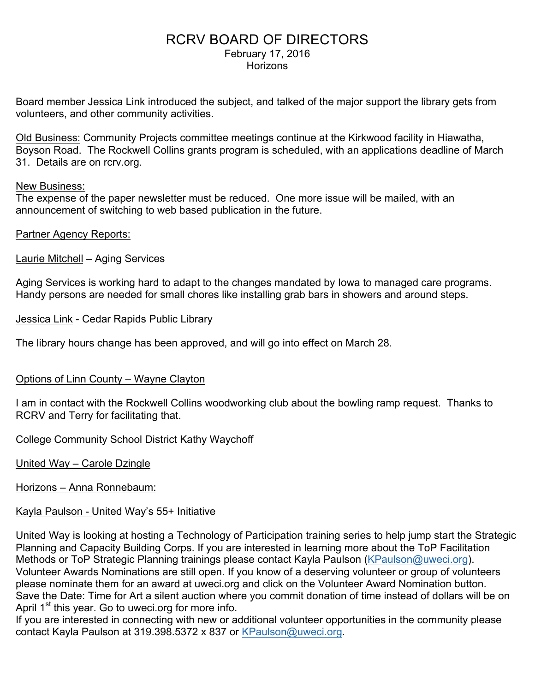Board member Jessica Link introduced the subject, and talked of the major support the library gets from volunteers, and other community activities.

Old Business: Community Projects committee meetings continue at the Kirkwood facility in Hiawatha, Boyson Road. The Rockwell Collins grants program is scheduled, with an applications deadline of March 31. Details are on rcrv.org.

### New Business:

The expense of the paper newsletter must be reduced. One more issue will be mailed, with an announcement of switching to web based publication in the future.

### Partner Agency Reports:

Laurie Mitchell – Aging Services

Aging Services is working hard to adapt to the changes mandated by Iowa to managed care programs. Handy persons are needed for small chores like installing grab bars in showers and around steps.

Jessica Link - Cedar Rapids Public Library

The library hours change has been approved, and will go into effect on March 28.

### Options of Linn County – Wayne Clayton

I am in contact with the Rockwell Collins woodworking club about the bowling ramp request. Thanks to RCRV and Terry for facilitating that.

### College Community School District Kathy Waychoff

United Way – Carole Dzingle

Horizons – Anna Ronnebaum:

### Kayla Paulson - United Way's 55+ Initiative

United Way is looking at hosting a Technology of Participation training series to help jump start the Strategic Planning and Capacity Building Corps. If you are interested in learning more about the ToP Facilitation Methods or ToP Strategic Planning trainings please contact Kayla Paulson (KPaulson@uweci.org). Volunteer Awards Nominations are still open. If you know of a deserving volunteer or group of volunteers please nominate them for an award at uweci.org and click on the Volunteer Award Nomination button. Save the Date: Time for Art a silent auction where you commit donation of time instead of dollars will be on April 1<sup>st</sup> this year. Go to uweci.org for more info.

If you are interested in connecting with new or additional volunteer opportunities in the community please contact Kayla Paulson at 319.398.5372 x 837 or KPaulson@uweci.org.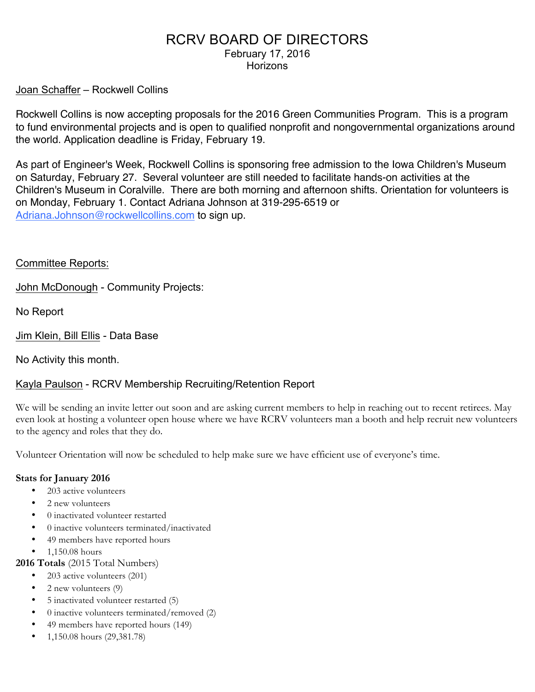### Joan Schaffer – Rockwell Collins

Rockwell Collins is now accepting proposals for the 2016 Green Communities Program. This is a program to fund environmental projects and is open to qualified nonprofit and nongovernmental organizations around the world. Application deadline is Friday, February 19.

As part of Engineer's Week, Rockwell Collins is sponsoring free admission to the Iowa Children's Museum on Saturday, February 27. Several volunteer are still needed to facilitate hands-on activities at the Children's Museum in Coralville. There are both morning and afternoon shifts. Orientation for volunteers is on Monday, February 1. Contact Adriana Johnson at 319-295-6519 or Adriana.Johnson@rockwellcollins.com to sign up.

### Committee Reports:

John McDonough - Community Projects:

No Report

Jim Klein, Bill Ellis - Data Base

No Activity this month.

### Kayla Paulson - RCRV Membership Recruiting/Retention Report

We will be sending an invite letter out soon and are asking current members to help in reaching out to recent retirees. May even look at hosting a volunteer open house where we have RCRV volunteers man a booth and help recruit new volunteers to the agency and roles that they do.

Volunteer Orientation will now be scheduled to help make sure we have efficient use of everyone's time.

#### **Stats for January 2016**

- 203 active volunteers
- 2 new volunteers
- 0 inactivated volunteer restarted
- 0 inactive volunteers terminated/inactivated
- 49 members have reported hours
- 1,150.08 hours

**2016 Totals** (2015 Total Numbers)

- 203 active volunteers (201)
- 2 new volunteers (9)
- 5 inactivated volunteer restarted (5)
- 0 inactive volunteers terminated/removed (2)
- 49 members have reported hours (149)
- 1,150.08 hours (29,381.78)